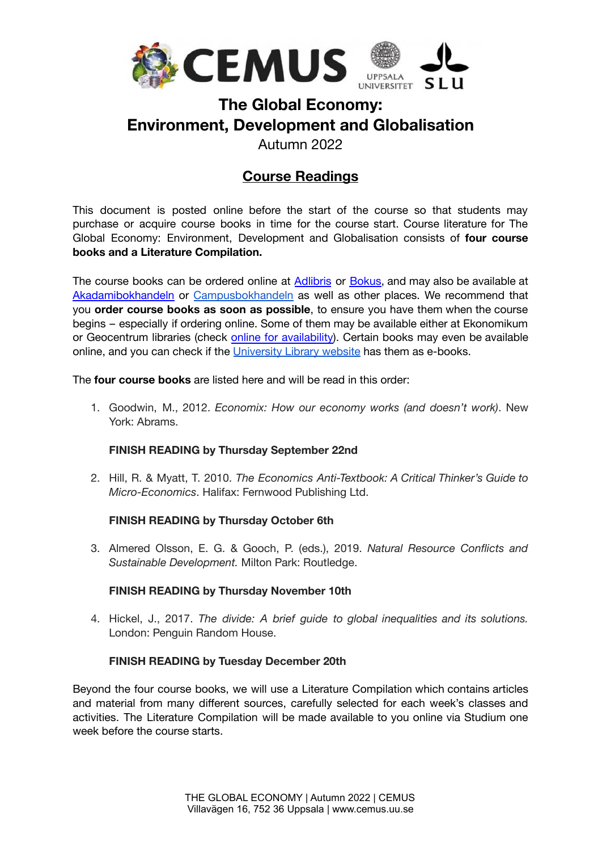

# **The Global Economy: Environment, Development and Globalisation**

Autumn 2022

## **Course Readings**

This document is posted online before the start of the course so that students may purchase or acquire course books in time for the course start. Course literature for The Global Economy: Environment, Development and Globalisation consists of **four course books and a Literature Compilation.**

The course books can be ordered online at [Adlibris](http://www.adlibris.com/se/) or [Bokus,](http://www.bokus.com/) and may also be available at [Akadamibokhandeln](http://akademibokhandeln.se/butik/uppsala-lundeq/) or [Campusbokhandeln](https://campusbokhandeln.se/) as well as other places. We recommend that you **order course books as soon as possible**, to ensure you have them when the course begins – especially if ordering online. Some of them may be available either at Ekonomikum or Geocentrum libraries (check [online](http://www.ub.uu.se/en/) for availability). Certain books may even be available online, and you can check if the [University](https://www.ub.uu.se/) Library website has them as e-books.

The **four course books** are listed here and will be read in this order:

1. Goodwin, M., 2012. *Economix: How our economy works (and doesn't work)*. New York: Abrams.

### **FINISH READING by Thursday September 22nd**

2. Hill, R. & Myatt, T. 2010. *The Economics Anti-Textbook: A Critical Thinker's Guide to Micro-Economics*. Halifax: Fernwood Publishing Ltd.

#### **FINISH READING by Thursday October 6th**

3. Almered Olsson, E. G. & Gooch, P. (eds.), 2019. *Natural Resource Conflicts and Sustainable Development.* Milton Park: Routledge.

#### **FINISH READING by Thursday November 10th**

4. Hickel, J., 2017. *The divide: A brief guide to global inequalities and its solutions.* London: Penguin Random House.

#### **FINISH READING by Tuesday December 20th**

Beyond the four course books, we will use a Literature Compilation which contains articles and material from many different sources, carefully selected for each week's classes and activities. The Literature Compilation will be made available to you online via Studium one week before the course starts.